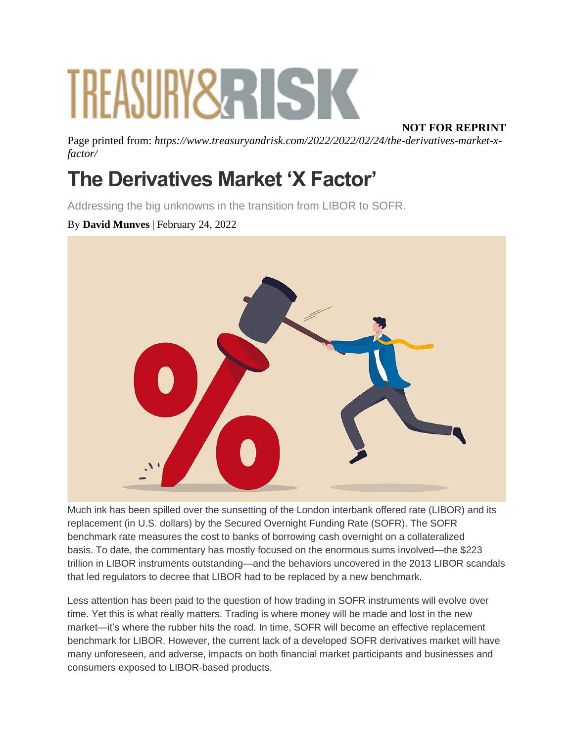# TREASURY 2 RISK

#### **NOT FOR REPRINT**

Page printed from: *https://www.treasuryandrisk.com/2022/2022/02/24/the-derivatives-market-xfactor/*

## **The Derivatives Market 'X Factor'**

Addressing the big unknowns in the transition from LIBOR to SOFR.

#### By **David Munves** | February 24, 2022



Much ink has been spilled over the sunsetting of the London interbank offered rate (LIBOR) and its replacement (in U.S. dollars) by the Secured Overnight Funding Rate (SOFR). The SOFR benchmark rate measures the cost to banks of borrowing cash overnight on a collateralized basis. To date, the commentary has mostly focused on the enormous sums involved—the \$223 trillion in LIBOR instruments outstanding—and the behaviors uncovered in the 2013 LIBOR scandals that led regulators to decree that LIBOR had to be replaced by a new benchmark.

Less attention has been paid to the question of how trading in SOFR instruments will evolve over time. Yet this is what really matters. Trading is where money will be made and lost in the new market—it's where the rubber hits the road. In time, SOFR will become an effective replacement benchmark for LIBOR. However, the current lack of a developed SOFR derivatives market will have many unforeseen, and adverse, impacts on both financial market participants and businesses and consumers exposed to LIBOR-based products.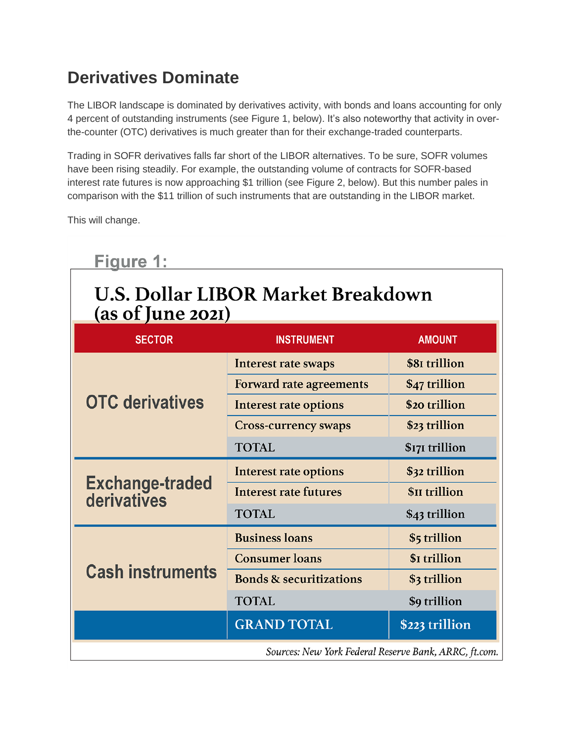## **Derivatives Dominate**

The LIBOR landscape is dominated by derivatives activity, with bonds and loans accounting for only 4 percent of outstanding instruments (see Figure 1, below). It's also noteworthy that activity in overthe-counter (OTC) derivatives is much greater than for their exchange-traded counterparts.

Trading in SOFR derivatives falls far short of the LIBOR alternatives. To be sure, SOFR volumes have been rising steadily. For example, the outstanding volume of contracts for SOFR-based interest rate futures is now approaching \$1 trillion (see Figure 2, below). But this number pales in comparison with the \$11 trillion of such instruments that are outstanding in the LIBOR market.

This will change.

| Figure 1:<br><b>U.S. Dollar LIBOR Market Breakdown</b><br>(as of June 2021) |                                    |                            |
|-----------------------------------------------------------------------------|------------------------------------|----------------------------|
| <b>SECTOR</b>                                                               | <b>INSTRUMENT</b>                  | <b>AMOUNT</b>              |
| <b>OTC derivatives</b>                                                      | Interest rate swaps                | \$81 trillion              |
|                                                                             | <b>Forward rate agreements</b>     | \$47 trillion              |
|                                                                             | <b>Interest rate options</b>       | \$20 trillion              |
|                                                                             | <b>Cross-currency swaps</b>        | \$23 trillion              |
|                                                                             | <b>TOTAL</b>                       | \$171 trillion             |
| <b>Exchange-traded</b><br>derivatives                                       | <b>Interest rate options</b>       | \$32 trillion              |
|                                                                             | <b>Interest rate futures</b>       | <b><i>SII</i></b> trillion |
|                                                                             | <b>TOTAL</b>                       | \$43 trillion              |
| <b>Cash instruments</b>                                                     | <b>Business loans</b>              | \$5 trillion               |
|                                                                             | <b>Consumer loans</b>              | \$I trillion               |
|                                                                             | <b>Bonds &amp; securitizations</b> | \$3 trillion               |
|                                                                             | <b>TOTAL</b>                       | \$9 trillion               |
|                                                                             | <b>GRAND TOTAL</b>                 | \$223 trillion             |
| Sources: New York Federal Reserve Bank, ARRC, ft.com.                       |                                    |                            |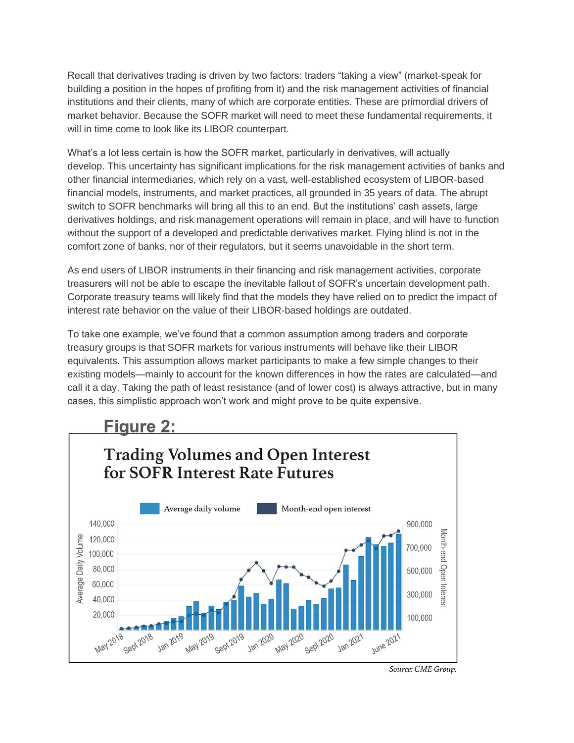Recall that derivatives trading is driven by two factors: traders "taking a view" (market-speak for building a position in the hopes of profiting from it) and the risk management activities of financial institutions and their clients, many of which are corporate entities. These are primordial drivers of market behavior. Because the SOFR market will need to meet these fundamental requirements, it will in time come to look like its LIBOR counterpart.

What's a lot less certain is how the SOFR market, particularly in derivatives, will actually develop. This uncertainty has significant implications for the risk management activities of banks and other financial intermediaries, which rely on a vast, well-established ecosystem of LIBOR-based financial models, instruments, and market practices, all grounded in 35 years of data. The abrupt switch to SOFR benchmarks will bring all this to an end. But the institutions' cash assets, large derivatives holdings, and risk management operations will remain in place, and will have to function without the support of a developed and predictable derivatives market. Flying blind is not in the comfort zone of banks, nor of their regulators, but it seems unavoidable in the short term.

As end users of LIBOR instruments in their financing and risk management activities, corporate treasurers will not be able to escape the inevitable fallout of SOFR's uncertain development path. Corporate treasury teams will likely find that the models they have relied on to predict the impact of interest rate behavior on the value of their LIBOR-based holdings are outdated.

To take one example, we've found that a common assumption among traders and corporate treasury groups is that SOFR markets for various instruments will behave like their LIBOR equivalents. This assumption allows market participants to make a few simple changes to their existing models—mainly to account for the known differences in how the rates are calculated—and call it a day. Taking the path of least resistance (and of lower cost) is always attractive, but in many cases, this simplistic approach won't work and might prove to be quite expensive.

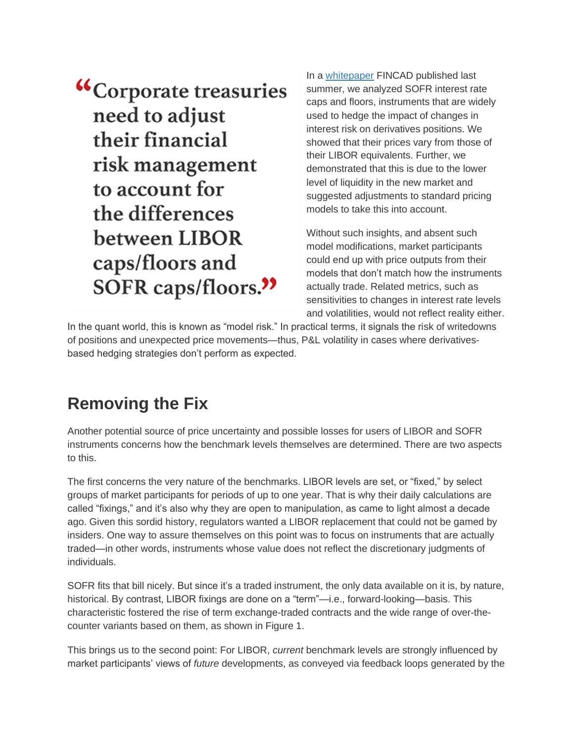"Corporate treasuries need to adjust their financial risk management to account for the differences between LIBOR caps/floors and SOFR caps/floors."

In a [whitepaper](https://fincad.com/resources/resource-library/whitepaper/impact-liquidity-transfer-pricing-sofr-interest-rate-cap-and) FINCAD published last summer, we analyzed SOFR interest rate caps and floors, instruments that are widely used to hedge the impact of changes in interest risk on derivatives positions. We showed that their prices vary from those of their LIBOR equivalents. Further, we demonstrated that this is due to the lower level of liquidity in the new market and suggested adjustments to standard pricing models to take this into account.

Without such insights, and absent such model modifications, market participants could end up with price outputs from their models that don't match how the instruments actually trade. Related metrics, such as sensitivities to changes in interest rate levels and volatilities, would not reflect reality either.

In the quant world, this is known as "model risk." In practical terms, it signals the risk of writedowns of positions and unexpected price movements—thus, P&L volatility in cases where derivativesbased hedging strategies don't perform as expected.

## **Removing the Fix**

Another potential source of price uncertainty and possible losses for users of LIBOR and SOFR instruments concerns how the benchmark levels themselves are determined. There are two aspects to this.

The first concerns the very nature of the benchmarks. LIBOR levels are set, or "fixed," by select groups of market participants for periods of up to one year. That is why their daily calculations are called "fixings," and it's also why they are open to manipulation, as came to light almost a decade ago. Given this sordid history, regulators wanted a LIBOR replacement that could not be gamed by insiders. One way to assure themselves on this point was to focus on instruments that are actually traded—in other words, instruments whose value does not reflect the discretionary judgments of individuals.

SOFR fits that bill nicely. But since it's a traded instrument, the only data available on it is, by nature, historical. By contrast, LIBOR fixings are done on a "term"—i.e., forward-looking—basis. This characteristic fostered the rise of term exchange-traded contracts and the wide range of over-thecounter variants based on them, as shown in Figure 1.

This brings us to the second point: For LIBOR, *current* benchmark levels are strongly influenced by market participants' views of *future* developments, as conveyed via feedback loops generated by the